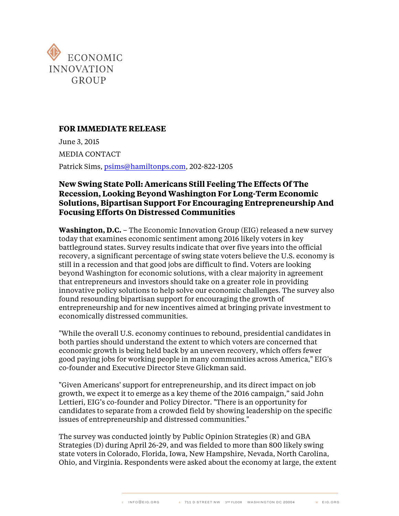

## **FOR IMMEDIATE RELEASE**

June 3, 2015 MEDIA CONTACT Patrick Sims, psims@hamiltonps.com, 202-822-1205

## **New Swing State Poll: Americans Still Feeling The Effects Of The Recession, Looking Beyond Washington For Long-Term Economic Solutions, Bipartisan Support For Encouraging Entrepreneurship And Focusing Efforts On Distressed Communities**

**Washington, D.C.** – The Economic Innovation Group (EIG) released a new survey today that examines economic sentiment among 2016 likely voters in key battleground states. Survey results indicate that over five years into the official recovery, a significant percentage of swing state voters believe the U.S. economy is still in a recession and that good jobs are difficult to find. Voters are looking beyond Washington for economic solutions, with a clear majority in agreement that entrepreneurs and investors should take on a greater role in providing innovative policy solutions to help solve our economic challenges. The survey also found resounding bipartisan support for encouraging the growth of entrepreneurship and for new incentives aimed at bringing private investment to economically distressed communities.

"While the overall U.S. economy continues to rebound, presidential candidates in both parties should understand the extent to which voters are concerned that economic growth is being held back by an uneven recovery, which offers fewer good paying jobs for working people in many communities across America," EIG's co-founder and Executive Director Steve Glickman said.

"Given Americans' support for entrepreneurship, and its direct impact on job growth, we expect it to emerge as a key theme of the 2016 campaign," said John Lettieri, EIG's co-founder and Policy Director. "There is an opportunity for candidates to separate from a crowded field by showing leadership on the specific issues of entrepreneurship and distressed communities."

The survey was conducted jointly by Public Opinion Strategies (R) and GBA Strategies (D) during April 26-29, and was fielded to more than 800 likely swing state voters in Colorado, Florida, Iowa, New Hampshire, Nevada, North Carolina, Ohio, and Virginia. Respondents were asked about the economy at large, the extent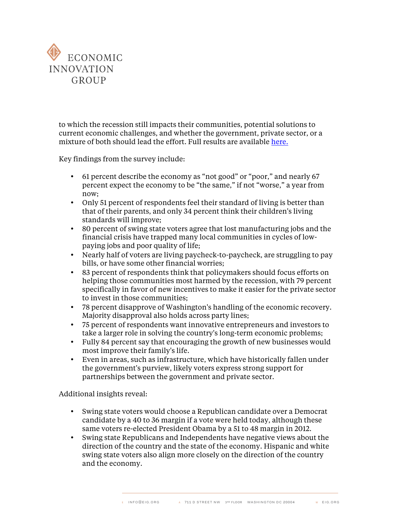

to which the recession still impacts their communities, potential solutions to current economic challenges, and whether the government, private sector, or a mixture of both should lead the effort. Full results are available [here.](http://eig.org/wp-content/uploads/2015/06/Swing-State-Economic-Survey.pdf)

Key findings from the survey include:

- 61 percent describe the economy as "not good" or "poor," and nearly 67 percent expect the economy to be "the same," if not "worse," a year from now;
- Only 51 percent of respondents feel their standard of living is better than that of their parents, and only 34 percent think their children's living standards will improve;
- 80 percent of swing state voters agree that lost manufacturing jobs and the financial crisis have trapped many local communities in cycles of lowpaying jobs and poor quality of life;
- Nearly half of voters are living paycheck-to-paycheck, are struggling to pay bills, or have some other financial worries;
- 83 percent of respondents think that policymakers should focus efforts on helping those communities most harmed by the recession, with 79 percent specifically in favor of new incentives to make it easier for the private sector to invest in those communities;
- 78 percent disapprove of Washington's handling of the economic recovery. Majority disapproval also holds across party lines;
- 75 percent of respondents want innovative entrepreneurs and investors to take a larger role in solving the country's long-term economic problems;
- Fully 84 percent say that encouraging the growth of new businesses would most improve their family's life.
- Even in areas, such as infrastructure, which have historically fallen under the government's purview, likely voters express strong support for partnerships between the government and private sector.

Additional insights reveal:

- Swing state voters would choose a Republican candidate over a Democrat candidate by a 40 to 36 margin if a vote were held today, although these same voters re-elected President Obama by a 51 to 48 margin in 2012.
- Swing state Republicans and Independents have negative views about the direction of the country and the state of the economy. Hispanic and white swing state voters also align more closely on the direction of the country and the economy.